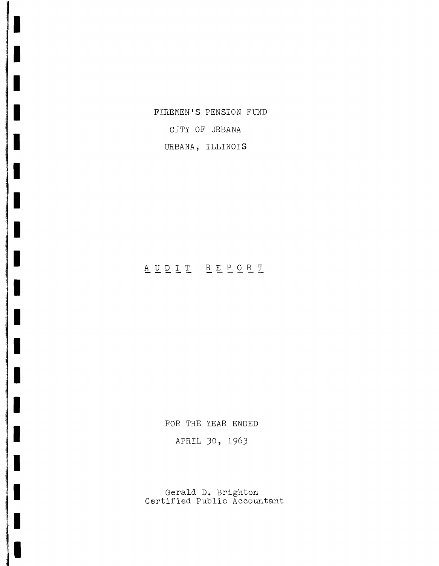FIREMEN'S PENSION FUND

CITY OF URBANA

IIIIII

**,I**

II

**II**

IIIIIII

:'j I

, I

je poznatelj pozitivala

URBANA, ILLINOIS

# A U D I T R E P O R T

FOR THE YEAR ENDED APRIL 30, 1963

Gerald **D.** Brighton Certified Public Accountant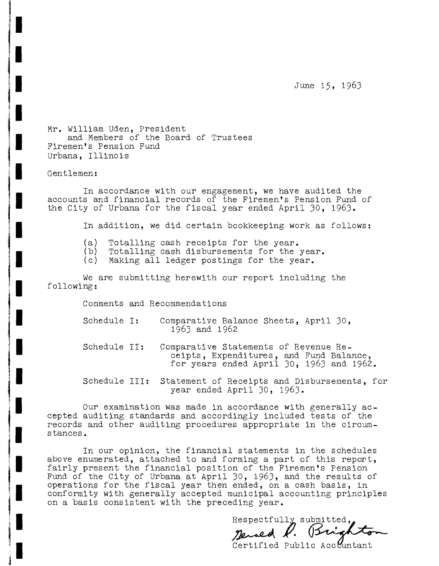June 15, 1963

Mr. William Uden, President and Members of the Board of Trustees Firemen's Pension Fund Urbana, Illinois

Gentlemen:

In accordance With our engagement, we have audited the accounts and financial records of the Firemen's Pension Fund of the City of Urbana for the fiscal year ended April 30, 1963.

In addition, we did certain bookkeeping work as follows:

- (a) Totalling cash receipts for the year.<br>(b) Totalling cash disbursements for the
- (b) Totalling cash disbursements for the year.<br>(c) Making all ledger postings for the year.
- Making all ledger postings for the year.

We are submitting herewith our report including the following:

Comments and Recommendations

- Schedule **I:** Comparative Balance Sheets, April 30, 1963 and 1962
- Schedule II: Comparative Statements of Revenue Receipts, Expenditures, and Fund Balance, for years ended April 30, 1963 and 1962.
- Schedule III: Statement of Receipts and Disbursements, for year ended April 30, 1963.

Our examination was made in accordance With generally accepted auditing standards and accordingly included tests of the records and other auditing procedures appropriate in the circumstances.

In our opinion, the financial statements in the schedules above enumerated, attached to and forming a part of this report, fairly present the financial position of the Firemen's Pension Fund of the City of Urbana at April 30, 1963, and the results of operations for the fiscal year then ended, on a cash basis, in conformity with generally accepted municipal accounting principles on a basis consistent with the preceding year.

Respectfully submitted, renaed K.  $15x$ 

Certified Public Acc ountant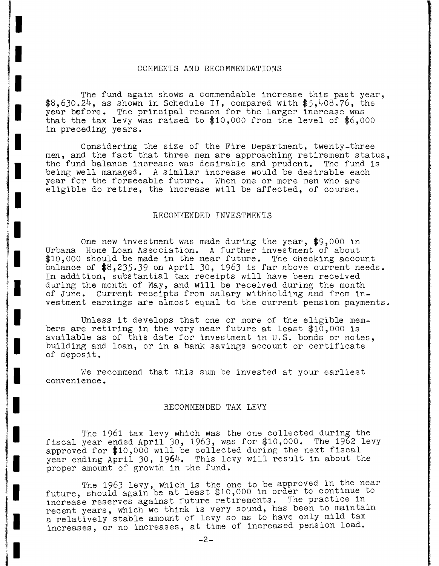### COMMENTS AND RECOMMENDATIONS

**I.**I

**11**

Ierstein<br>I – Pauliniais III<br>I – Pauliniais III (III)

<u>in majaritrista sertsiooniden maansa.</u><br>III<br>III kasutata sertsiooniden maansa sertsiooniden maansa sertsiooniden maansa sertsiooniden maansa sertsiooniden

an personal di secolul anno 1980.<br>Il province del construction del constant del constant del constant del constant del constant del constant de<br>Il province del constant del constant del constant del constant del constant d

**In the South of Warehouse Communications** 

 $\frac{3}{2}$ 

II

**11**

II

1I

**Jackson**  $\frac{3}{2}$ 

I I

ja video politika alternativna politika<br>Indijska politika alternativna politika alternativna politika alternativna politika alternativna alternativna<br>Indijska politika alternativna politika alternativna alternativna altern

~I I

**11**

 $\begin{CD} \mathcal{L}_{\mathcal{A}} \left( \mathcal{L}_{\mathcal{A}} \right) \left( \mathcal{L}_{\mathcal{A}} \right) \left( \mathcal{L}_{\mathcal{A}} \right) \left( \mathcal{L}_{\mathcal{A}} \right) \left( \mathcal{L}_{\mathcal{A}} \right) \left( \mathcal{L}_{\mathcal{A}} \right) \left( \mathcal{L}_{\mathcal{A}} \right) \left( \mathcal{L}_{\mathcal{A}} \right) \left( \mathcal{L}_{\mathcal{A}} \right) \left( \mathcal{L}_{\mathcal{A}} \right) \left( \mathcal{L}_{\mathcal{A}} \right) \left( \math$ 

I I

IIj

The fund again shows a commendable increase this past year,  $$8,630.24$ , as shown in Schedule II, compared with  $$5,408.76$ , the year before. The principal reason for the larger increase was that the tax levy was raised to \$10,000 from the level of \$6,000 in preceding years.

Considering the size of the Fire Department, twenty-three men, and the fact that three men are approaching retirement status, the fund balance increase was desirable and prudent. The fund is being well managed. A similar increase would be desirable each year for the forseeable future. When one or more men who are eligible do retire, the increase will be affected, of course.

#### RECOMMENDED INVESTMENTS

One new investment was made during the year, \$9,000 in Urbana Home Loan Association. A further investment of about \$10,000 should be made in the near future. The checking account balance of \$8,235.39 on April 30, 1963 is far above current needs. In addition, substantial tax receipts will have been received during the month of May, and will be received during the month of June. Current receipts from salary Withholding and from investment earnings are almost equal to the current pension payments.

Unless it develops that one or more of the eligible members are retiring in the very near future at least \$10,000 is available as of this date for investment in U.S. bonds or notes, building and loan, or in a bank savings account or certificate of deposit.

We recommend that this sum be invested at your earliest convenience.

#### RECOMMENDED TAX LEVY

The 1961 tax levy which was the one collected during the fiscal year ended April 30, 1963, was for \$10,000. The 1962 levy approved for \$10,000 will be COllected during the next fiscal year ending April 30, 1964. This levy will result in about the proper amount of growth in the fund.

The 1963 levy, which is the one to be approved in the near future, should again be at least  $$10,000$  in order to continue to increase reserves against future retirements. The practice in recent years, which we think is very sound, has been to maintain a relatively stable amount of levy so as to have only mild tax increases, or no increases, at time of increased pension load.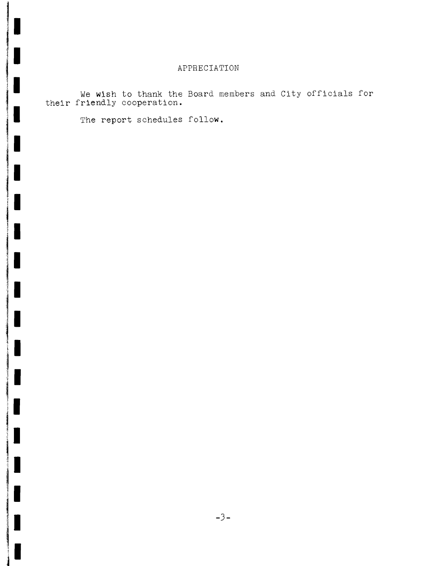# APPRECIATION

We **wish** to thank the Board members and City officials for their friendly cooperation.

The report schedules follow.

L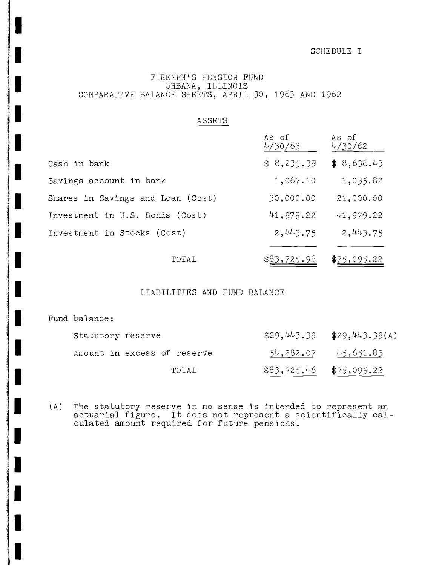### SCHEDULE I

## FIREMEN'S PENSION FUND URBANA, ILLINOIS COMPARATIVE BALANCE SHEETS, APRIL JO, 196J AND 1962

| ASSETS                            |                  |                  |
|-----------------------------------|------------------|------------------|
|                                   | As of<br>4/30/63 | As of<br>4/30/62 |
| Cash in bank                      | \$8,235.39       | \$8,636.43       |
| Savings account in bank           | 1,067.10         | 1,035.82         |
| Shares in Savings and Loan (Cost) | 30,000.00        | 21,000.00        |
| Investment in U.S. Bonds (Cost)   | 41,979.22        | 41,979.22        |
| Investment in Stocks (Cost)       | 2,443.75         | 2,443.75         |
| TOTAL                             | \$83,725.96      | \$75,095.22      |

### LIABILITIES AND FUND BALANCE

Fund balance:

| Statutory reserve           |                           | $$29,443.39$ $$29,443.39(A)$ |
|-----------------------------|---------------------------|------------------------------|
| Amount in excess of reserve |                           | $54,282.07$ $45,651.83$      |
| TOTAL.                      | $$83,725.46$ $$75,095.22$ |                              |

(A) The statutory reserve in no sense is intended to represent an actuarial figure. It does not represent <sup>a</sup> scientifically calculated amount required for future pensions.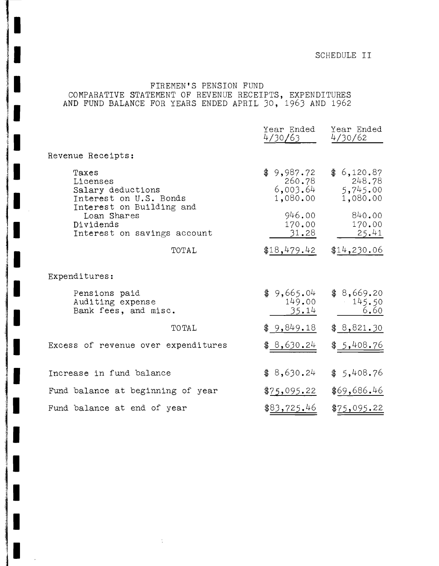# FIREMEN'S PENSION FUND COMPARATIVE STATEMENT OF REVENUE RECEIPTS, EXPENDITURES AND FUND BALANCE FOR YEARS ENDED APRIL 30, 1963 AND 1962

|                                                                                                                                                         | Year Ended<br>4/30/63                        | Year Ended<br>4/30/62                        |
|---------------------------------------------------------------------------------------------------------------------------------------------------------|----------------------------------------------|----------------------------------------------|
| Revenue Receipts:                                                                                                                                       |                                              |                                              |
| Taxes<br>Licenses<br>Salary deductions<br>Interest on U.S. Bonds<br>Interest on Building and<br>Loan Shares<br>Dividends<br>Interest on savings account | \$9,987.72<br>260.78<br>6,003.64<br>1,080.00 | \$6,120.87<br>248.78<br>5,745.00<br>1,080.00 |
|                                                                                                                                                         | 946.00<br>170.00<br>31.28                    | 840.00<br>170.00<br>25.41                    |
| TOTAL                                                                                                                                                   | \$18,479.42                                  | \$14,230.06                                  |
| Expenditures:                                                                                                                                           |                                              |                                              |
| Pensions paid<br>Auditing expense<br>Bank fees, and misc.                                                                                               | \$9,665.04<br>149.00<br><u>35.14</u>         | \$8,669.20<br>145.50<br>6.60                 |
| TOTAL                                                                                                                                                   | \$9,849.18                                   | \$8,821.30                                   |
| Excess of revenue over expenditures                                                                                                                     | \$8,630.24                                   | \$ <u>5,408.76</u>                           |
| Increase in fund balance                                                                                                                                | \$8,630.24                                   | \$5,408.76                                   |
| Fund balance at beginning of year                                                                                                                       | \$75,095.22                                  | \$69,686.46                                  |
| Fund balance at end of year                                                                                                                             | \$83,725.46                                  | \$75,095.22                                  |

 $\frac{1}{\lambda}$ 

L